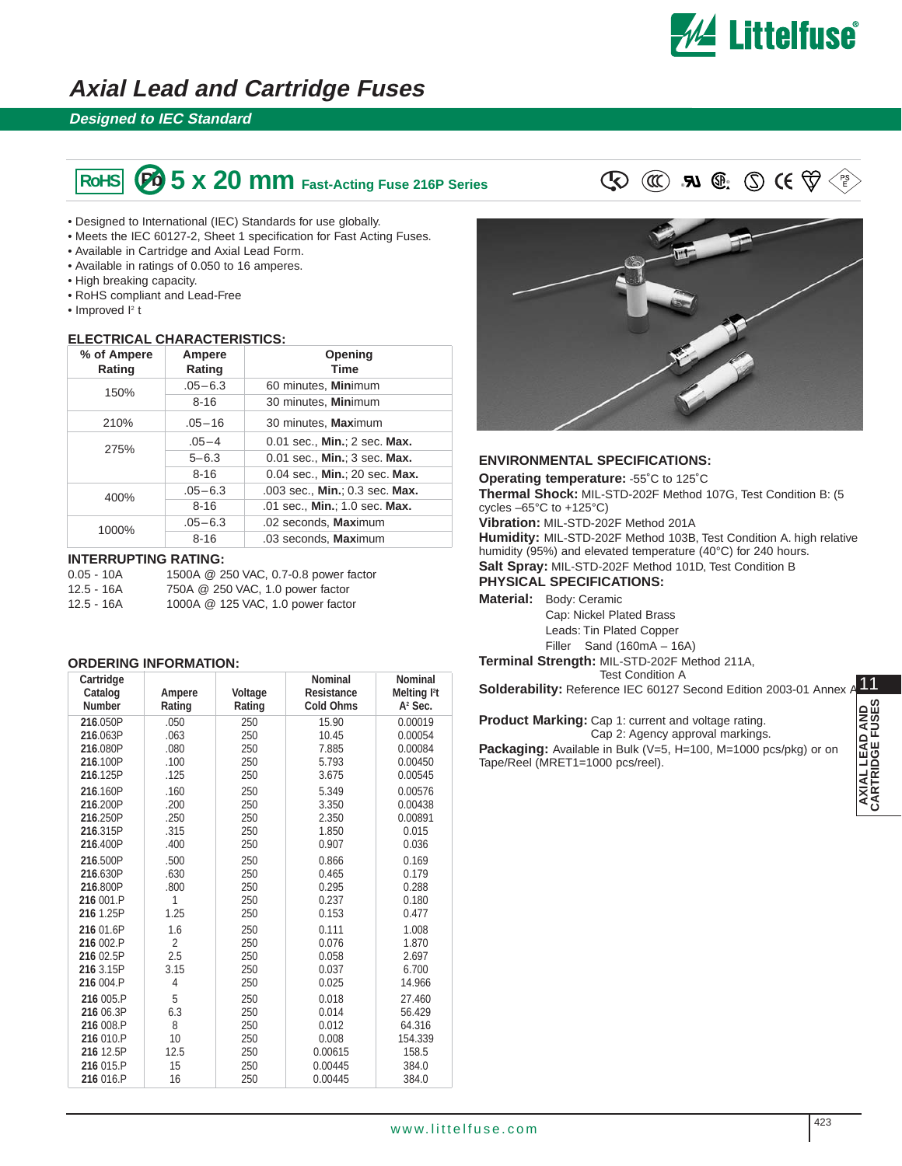

## **Axial Lead and Cartridge Fuses**

### **Designed to IEC Standard**

# ® **RoHS Pb** ® **5 x 20 mm Fast-Acting Fuse 216P Series**

- Designed to International (IEC) Standards for use globally.
- Meets the IEC 60127-2, Sheet 1 specification for Fast Acting Fuses.
- Available in Cartridge and Axial Lead Form.
- Available in ratings of 0.050 to 16 amperes.
- High breaking capacity.
- RoHS compliant and Lead-Free
- $\bullet$  Improved  $I^2$  t

#### **ELECTRICAL CHARACTERISTICS:**

| % of Ampere<br>Rating | Ampere<br>Rating | Opening<br><b>Time</b>         |  |
|-----------------------|------------------|--------------------------------|--|
| 150%                  | $.05 - 6.3$      | 60 minutes, Minimum            |  |
|                       | $8 - 16$         | 30 minutes, Minimum            |  |
| 210%                  | $.05 - 16$       | 30 minutes, Maximum            |  |
| 275%                  | $.05 - 4$        | 0.01 sec., Min.: 2 sec. Max.   |  |
|                       | $5 - 6.3$        | 0.01 sec., Min.; 3 sec. Max.   |  |
|                       | $8 - 16$         | 0.04 sec., Min.; 20 sec. Max.  |  |
| 400%                  | $.05 - 6.3$      | .003 sec., Min.; 0.3 sec. Max. |  |
|                       | $8 - 16$         | .01 sec., Min.; 1.0 sec. Max.  |  |
| 1000%                 | $.05 - 6.3$      | .02 seconds, Maximum           |  |
|                       | $8 - 16$         | .03 seconds, Maximum           |  |

#### **INTERRUPTING RATING:**

0.05 - 10A 1500A @ 250 VAC, 0.7-0.8 power factor<br>12.5 - 16A 750A @ 250 VAC. 1.0 power factor 750A @ 250 VAC, 1.0 power factor 12.5 - 16A 1000A @ 125 VAC, 1.0 power factor

#### **ORDERING INFORMATION:**

| Cartridge<br>Catalog<br><b>Number</b> | Ampere<br>Rating | Voltage<br>Rating | <b>Nominal</b><br><b>Resistance</b><br><b>Cold Ohms</b> | <b>Nominal</b><br>Melting <sup>12</sup> t<br>$A2$ Sec. |
|---------------------------------------|------------------|-------------------|---------------------------------------------------------|--------------------------------------------------------|
| 216.050P                              | .050             | 250               | 15.90                                                   | 0.00019                                                |
| 216.063P                              | .063             | 250               | 10.45                                                   | 0.00054                                                |
| 216.080P                              | .080             | 250               | 7.885                                                   | 0.00084                                                |
| 216.100P                              | .100             | 250               | 5.793                                                   | 0.00450                                                |
| 216.125P                              | .125             | 250               | 3.675                                                   | 0.00545                                                |
| 216.160P                              | .160             | 250               | 5.349                                                   | 0.00576                                                |
| 216.200P                              | .200             | 250               | 3.350                                                   | 0.00438                                                |
| 216.250P                              | .250             | 250               | 2.350                                                   | 0.00891                                                |
| 216.315P                              | .315             | 250               | 1.850                                                   | 0.015                                                  |
| 216.400P                              | .400             | 250               | 0.907                                                   | 0.036                                                  |
| 216.500P                              | .500             | 250               | 0.866                                                   | 0.169                                                  |
| 216.630P                              | .630             | 250               | 0.465                                                   | 0.179                                                  |
| 216,800P                              | .800             | 250               | 0.295                                                   | 0.288                                                  |
| 216 001.P                             | 1                | 250               | 0.237                                                   | 0.180                                                  |
| 216 1.25P                             | 1.25             | 250               | 0.153                                                   | 0.477                                                  |
| 216 01.6P                             | 1.6              | 250               | 0.111                                                   | 1.008                                                  |
| 216 002.P                             | $\overline{2}$   | 250               | 0.076                                                   | 1.870                                                  |
| 216 02.5P                             | 2.5              | 250               | 0.058                                                   | 2.697                                                  |
| 216 3.15P                             | 3.15             | 250               | 0.037                                                   | 6.700                                                  |
| 216 004.P                             | 4                | 250               | 0.025                                                   | 14.966                                                 |
| 216 005.P                             | 5                | 250               | 0.018                                                   | 27.460                                                 |
| 216 06.3P                             | 6.3              | 250               | 0.014                                                   | 56.429                                                 |
| 216 008.P                             | 8                | 250               | 0.012                                                   | 64.316                                                 |
| 216 010.P                             | 10               | 250               | 0.008                                                   | 154.339                                                |
| 216 12.5P                             | 12.5             | 250               | 0.00615                                                 | 158.5                                                  |
| 216 015.P                             | 15               | 250               | 0.00445                                                 | 384.0                                                  |
| 216 016.P                             | 16               | 250               | 0.00445                                                 | 384.0                                                  |



#### **ENVIRONMENTAL SPECIFICATIONS:**

**Operating temperature:** -55˚C to 125˚C **Thermal Shock:** MIL-STD-202F Method 107G, Test Condition B: (5 cycles –65°C to +125°C) **Vibration:** MIL-STD-202F Method 201A **Humidity:** MIL-STD-202F Method 103B, Test Condition A. high relative humidity (95%) and elevated temperature (40°C) for 240 hours.

**Salt Spray:** MIL-STD-202F Method 101D, Test Condition B

**PHYSICAL SPECIFICATIONS:**

**Material:** Body: Ceramic

Cap: Nickel Plated Brass Leads: Tin Plated Copper Filler Sand (160mA – 16A)

**Terminal Strength:** MIL-STD-202F Method 211A, Test Condition A

**Solderability:** Reference IEC 60127 Second Edition 2003-01 Annex Annex

**Product Marking:** Cap 1: current and voltage rating. Cap 2: Agency approval markings. **Packaging:** Available in Bulk (V=5, H=100, M=1000 pcs/pkg) or on Tape/Reel (MRET1=1000 pcs/reel).